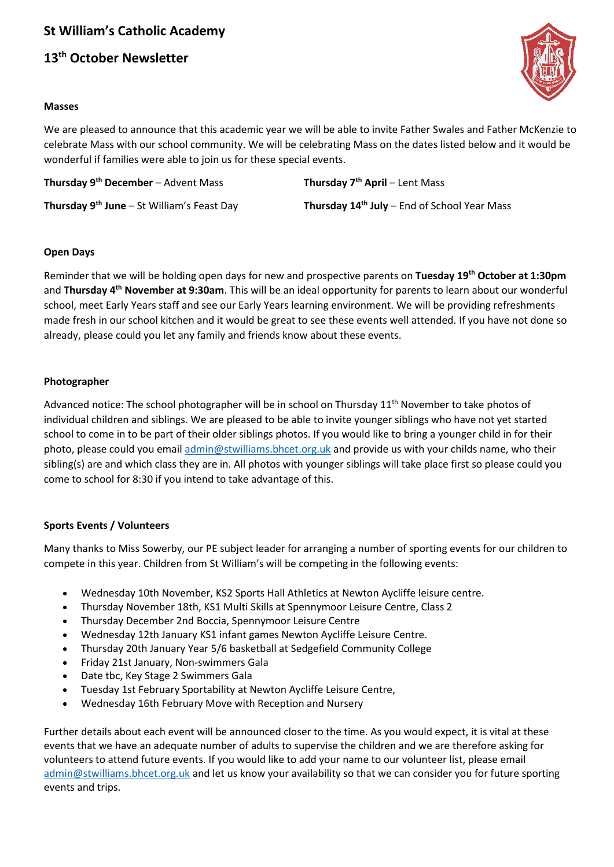# **St William's Catholic Academy**

## **13th October Newsletter**



#### **Masses**

We are pleased to announce that this academic year we will be able to invite Father Swales and Father McKenzie to celebrate Mass with our school community. We will be celebrating Mass on the dates listed below and it would be wonderful if families were able to join us for these special events.

**Thursday 9th December** – Advent Mass **Thursday 7th April** – Lent Mass

**Thursday 9th June** – St William's Feast Day **Thursday 14th July** – End of School Year Mass

## **Open Days**

Reminder that we will be holding open days for new and prospective parents on **Tuesday 19th October at 1:30pm** and **Thursday 4th November at 9:30am**. This will be an ideal opportunity for parents to learn about our wonderful school, meet Early Years staff and see our Early Years learning environment. We will be providing refreshments made fresh in our school kitchen and it would be great to see these events well attended. If you have not done so already, please could you let any family and friends know about these events.

## **Photographer**

Advanced notice: The school photographer will be in school on Thursday  $11<sup>th</sup>$  November to take photos of individual children and siblings. We are pleased to be able to invite younger siblings who have not yet started school to come in to be part of their older siblings photos. If you would like to bring a younger child in for their photo, please could you email [admin@stwilliams.bhcet.org.uk](mailto:admin@stwilliams.bhcet.org.uk) and provide us with your childs name, who their sibling(s) are and which class they are in. All photos with younger siblings will take place first so please could you come to school for 8:30 if you intend to take advantage of this.

## **Sports Events / Volunteers**

Many thanks to Miss Sowerby, our PE subject leader for arranging a number of sporting events for our children to compete in this year. Children from St William's will be competing in the following events:

- Wednesday 10th November, KS2 Sports Hall Athletics at Newton Aycliffe leisure centre.
- Thursday November 18th, KS1 Multi Skills at Spennymoor Leisure Centre, Class 2
- Thursday December 2nd Boccia, Spennymoor Leisure Centre
- Wednesday 12th January KS1 infant games Newton Aycliffe Leisure Centre.
- Thursday 20th January Year 5/6 basketball at Sedgefield Community College
- Friday 21st January, Non-swimmers Gala
- Date tbc, Key Stage 2 Swimmers Gala
- Tuesday 1st February Sportability at Newton Aycliffe Leisure Centre,
- Wednesday 16th February Move with Reception and Nursery

Further details about each event will be announced closer to the time. As you would expect, it is vital at these events that we have an adequate number of adults to supervise the children and we are therefore asking for volunteers to attend future events. If you would like to add your name to our volunteer list, please email [admin@stwilliams.bhcet.org.uk](mailto:admin@stwilliams.bhcet.org.uk) and let us know your availability so that we can consider you for future sporting events and trips.